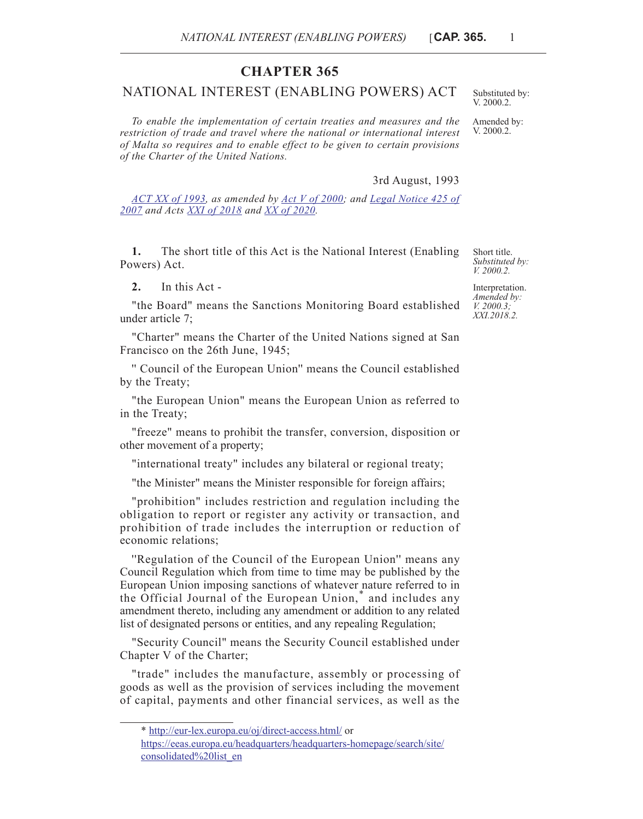## **CHAPTER 365**

## NATIONAL INTEREST (ENABLING POWERS) ACT

*To enable the implementation of certain treaties and measures and the restriction of trade and travel where the national or international interest of Malta so requires and to enable effect to be given to certain provisions of the Charter of the United Nations.*

3rd August, 1993

*[ACT XX of 1993](https://legislation.mt/eli/act/1993/20/eng/pdf), as amended by [Act V of 2000](https://legislation.mt/eli/act/2000/5/eng/pdf); and [Legal Notice 425 of](https://legislation.mt/eli/ln/2007/425/eng/pdf) [2007](https://legislation.mt/eli/ln/2007/425/eng/pdf) and Acts [XXI of 2018](https://legislation.mt/eli/act/2018/21/eng/pdf) and [XX of 2020](https://legislation.mt/eli/act/2020/20/eng/pdf).*

**1.** The short title of this Act is the National Interest (Enabling Powers) Act.

**2.** In this Act -

"the Board" means the Sanctions Monitoring Board established under article 7;

"Charter" means the Charter of the United Nations signed at San Francisco on the 26th June, 1945;

'' Council of the European Union'' means the Council established by the Treaty;

"the European Union" means the European Union as referred to in the Treaty;

"freeze" means to prohibit the transfer, conversion, disposition or other movement of a property;

"international treaty" includes any bilateral or regional treaty;

"the Minister" means the Minister responsible for foreign affairs;

"prohibition" includes restriction and regulation including the obligation to report or register any activity or transaction, and prohibition of trade includes the interruption or reduction of economic relations;

''Regulation of the Council of the European Union'' means any Council Regulation which from time to time may be published by the European Union imposing sanctions of whatever nature referred to in the Official Journal of the European Union," and includes any amendment thereto, including any amendment or addition to any related list of designated persons or entities, and any repealing Regulation;

"Security Council" means the Security Council established under Chapter V of the Charter;

"trade" includes the manufacture, assembly or processing of goods as well as the provision of services including the movement of capital, payments and other financial services, as well as the

Short title. *Substituted by: V. 2000.2.*

Interpretation. *Amended by: V. 2000.3; XXI.2018.2.*

Substituted by: V. 2000.2. Amended by:

V. 2000.2.

<sup>\*</sup> [h](http://www.un.org/en/sc/documents/volumes/)[ttp://eur-lex.europa.eu/oj/direct-access.html/](http://eur-lex.europa.eu/oj/direct-access.html/) or

[https://eeas.europa.eu/headquarters/headquarters-homepage/search/site/](https://eeas.europa.eu/headquarters/headquarters-homepage/search/site/consolidated list_en) [consolidated%20list\\_en](https://eeas.europa.eu/headquarters/headquarters-homepage/search/site/consolidated list_en)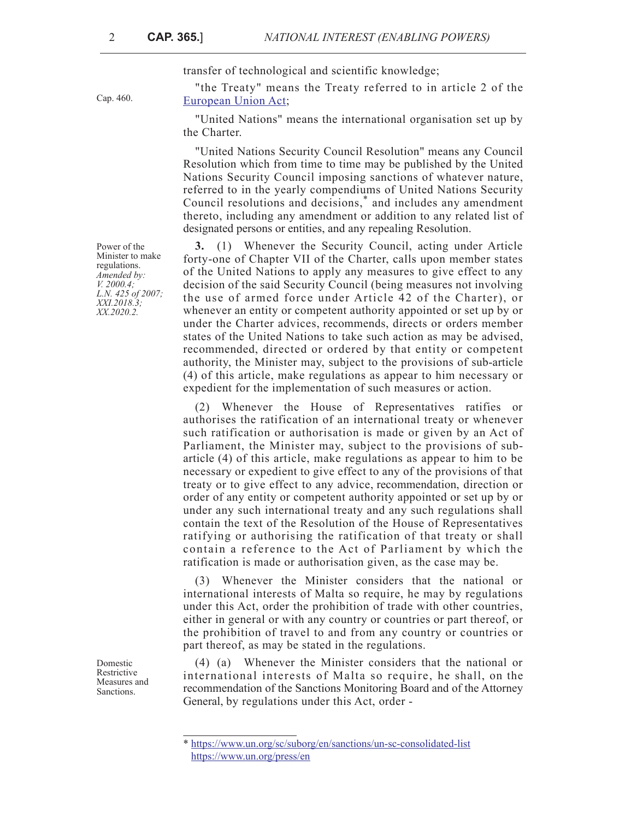Cap. 460.

transfer of technological and scientific knowledge;

"the Treaty" means the Treaty referred to in article 2 of the [European Union Act;](https://legislation.mt/eli/cap/460/eng/pdf)

"United Nations" means the international organisation set up by the Charter.

"United Nations Security Council Resolution" means any Council Resolution which from time to time may be published by the United Nations Security Council imposing sanctions of whatever nature, referred to in the yearly compendiums of United Nations Security Council resolutions and decisions,\* and includes any amendment thereto, including any amendment or addition to any related list of designated persons or entities, and any repealing Resolution.

**3.** (1) Whenever the Security Council, acting under Article forty-one of Chapter VII of the Charter, calls upon member states of the United Nations to apply any measures to give effect to any decision of the said Security Council (being measures not involving the use of armed force under Article 42 of the Charter), or whenever an entity or competent authority appointed or set up by or under the Charter advices, recommends, directs or orders member states of the United Nations to take such action as may be advised, recommended, directed or ordered by that entity or competent authority, the Minister may, subject to the provisions of sub-article (4) of this article, make regulations as appear to him necessary or expedient for the implementation of such measures or action.

(2) Whenever the House of Representatives ratifies or authorises the ratification of an international treaty or whenever such ratification or authorisation is made or given by an Act of Parliament, the Minister may, subject to the provisions of subarticle (4) of this article, make regulations as appear to him to be necessary or expedient to give effect to any of the provisions of that treaty or to give effect to any advice, recommendation, direction or order of any entity or competent authority appointed or set up by or under any such international treaty and any such regulations shall contain the text of the Resolution of the House of Representatives ratifying or authorising the ratification of that treaty or shall contain a reference to the Act of Parliament by which the ratification is made or authorisation given, as the case may be.

(3) Whenever the Minister considers that the national or international interests of Malta so require, he may by regulations under this Act, order the prohibition of trade with other countries, either in general or with any country or countries or part thereof, or the prohibition of travel to and from any country or countries or part thereof, as may be stated in the regulations.

(4) (a) Whenever the Minister considers that the national or international interests of Malta so require, he shall, on the recommendation of the Sanctions Monitoring Board and of the Attorney General, by regulations under this Act, order -

Power of the Minister to make regulations. *Amended by: V. 2000.4; L.N. 425 of 2007; XXI.2018.3; XX.2020.2.*

Domestic Restrictive Measures and Sanctions.

<sup>\*</sup> <https://www.un.org/sc/suborg/en/sanctions/un-sc-consolidated-list> <https://www.un.org/press/en>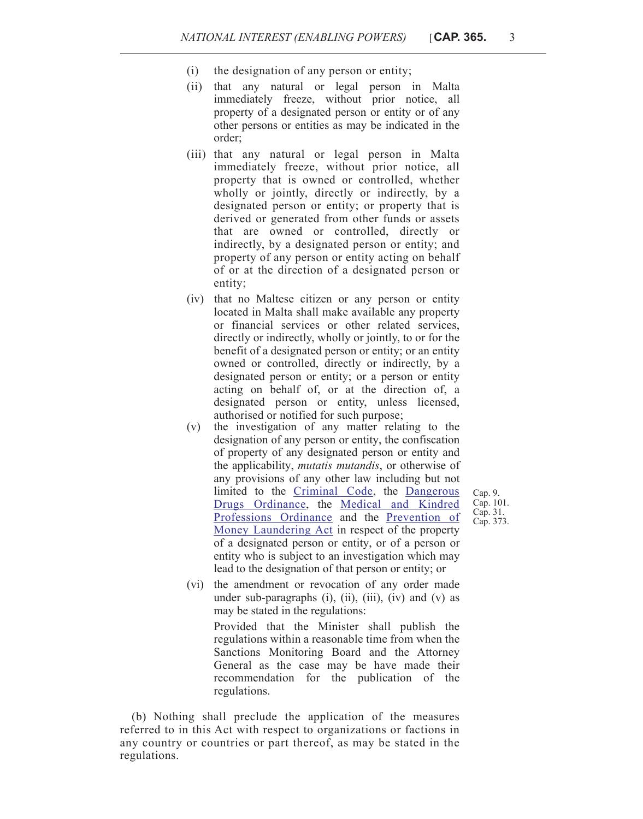- (i) the designation of any person or entity;
- (ii) that any natural or legal person in Malta immediately freeze, without prior notice, all property of a designated person or entity or of any other persons or entities as may be indicated in the order;
- (iii) that any natural or legal person in Malta immediately freeze, without prior notice, all property that is owned or controlled, whether wholly or jointly, directly or indirectly, by a designated person or entity; or property that is derived or generated from other funds or assets that are owned or controlled, directly or indirectly, by a designated person or entity; and property of any person or entity acting on behalf of or at the direction of a designated person or entity;
- (iv) that no Maltese citizen or any person or entity located in Malta shall make available any property or financial services or other related services, directly or indirectly, wholly or jointly, to or for the benefit of a designated person or entity; or an entity owned or controlled, directly or indirectly, by a designated person or entity; or a person or entity acting on behalf of, or at the direction of, a designated person or entity, unless licensed, authorised or notified for such purpose;
- (v) the investigation of any matter relating to the designation of any person or entity, the confiscation of property of any designated person or entity and the applicability, *mutatis mutandis*, or otherwise of any provisions of any other law including but not limited to the [Criminal Code](https://legislation.mt/eli/cap/9/eng/pdf), the [Dangerous](https://legislation.mt/eli/cap/101/eng/pdf) [Drugs Ordinance](https://legislation.mt/eli/cap/101/eng/pdf), the [Medical and Kindred](https://legislation.mt/eli/cap/31/eng/pdf) [Professions Ordinance](https://legislation.mt/eli/cap/31/eng/pdf) and the [Prevention of](https://legislation.mt/eli/cap/373/eng/pdf) [Money Laundering Act](https://legislation.mt/eli/cap/373/eng/pdf) in respect of the property of a designated person or entity, or of a person or entity who is subject to an investigation which may lead to the designation of that person or entity; or
- Cap. 9. Cap. 101. Cap. 31. Cap. 373.
- (vi) the amendment or revocation of any order made under sub-paragraphs  $(i)$ ,  $(ii)$ ,  $(iii)$ ,  $(iv)$  and  $(v)$  as may be stated in the regulations:

Provided that the Minister shall publish the regulations within a reasonable time from when the Sanctions Monitoring Board and the Attorney General as the case may be have made their recommendation for the publication of the regulations.

(b) Nothing shall preclude the application of the measures referred to in this Act with respect to organizations or factions in any country or countries or part thereof, as may be stated in the regulations.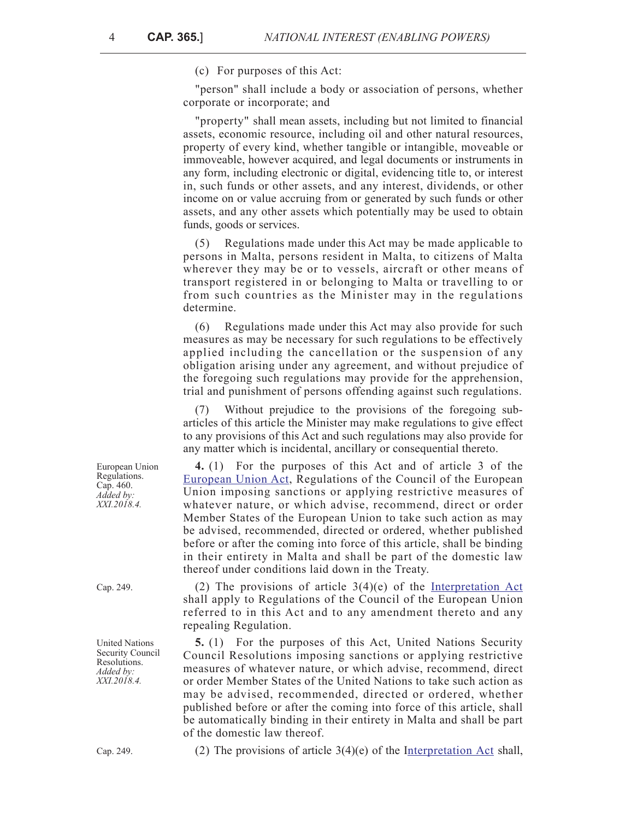(c) For purposes of this Act:

"person" shall include a body or association of persons, whether corporate or incorporate; and

"property" shall mean assets, including but not limited to financial assets, economic resource, including oil and other natural resources, property of every kind, whether tangible or intangible, moveable or immoveable, however acquired, and legal documents or instruments in any form, including electronic or digital, evidencing title to, or interest in, such funds or other assets, and any interest, dividends, or other income on or value accruing from or generated by such funds or other assets, and any other assets which potentially may be used to obtain funds, goods or services.

(5) Regulations made under this Act may be made applicable to persons in Malta, persons resident in Malta, to citizens of Malta wherever they may be or to vessels, aircraft or other means of transport registered in or belonging to Malta or travelling to or from such countries as the Minister may in the regulations determine.

(6) Regulations made under this Act may also provide for such measures as may be necessary for such regulations to be effectively applied including the cancellation or the suspension of any obligation arising under any agreement, and without prejudice of the foregoing such regulations may provide for the apprehension, trial and punishment of persons offending against such regulations.

(7) Without prejudice to the provisions of the foregoing subarticles of this article the Minister may make regulations to give effect to any provisions of this Act and such regulations may also provide for any matter which is incidental, ancillary or consequential thereto.

**4.** (1) For the purposes of this Act and of article 3 of the [European Union Act](https://legislation.mt/eli/cap/460/eng/pdf), Regulations of the Council of the European Union imposing sanctions or applying restrictive measures of whatever nature, or which advise, recommend, direct or order Member States of the European Union to take such action as may be advised, recommended, directed or ordered, whether published before or after the coming into force of this article, shall be binding in their entirety in Malta and shall be part of the domestic law thereof under conditions laid down in the Treaty.

Cap. 249. (2) The provisions of article  $3(4)(e)$  of the [Interpretation Act](https://legislation.mt/eli/cap/249/eng/pdf) shall apply to Regulations of the Council of the European Union referred to in this Act and to any amendment thereto and any repealing Regulation.

> **5.** (1) For the purposes of this Act, United Nations Security Council Resolutions imposing sanctions or applying restrictive measures of whatever nature, or which advise, recommend, direct or order Member States of the United Nations to take such action as may be advised, recommended, directed or ordered, whether published before or after the coming into force of this article, shall be automatically binding in their entirety in Malta and shall be part of the domestic law thereof.

Cap. 249. (2) The provisions of article  $3(4)(e)$  of the Interpretation Act shall,

European Union Regulations. Cap. 460. *Added by: XXI.2018.4.*

United Nations Security Council Resolutions. *Added by: XXI.2018.4.*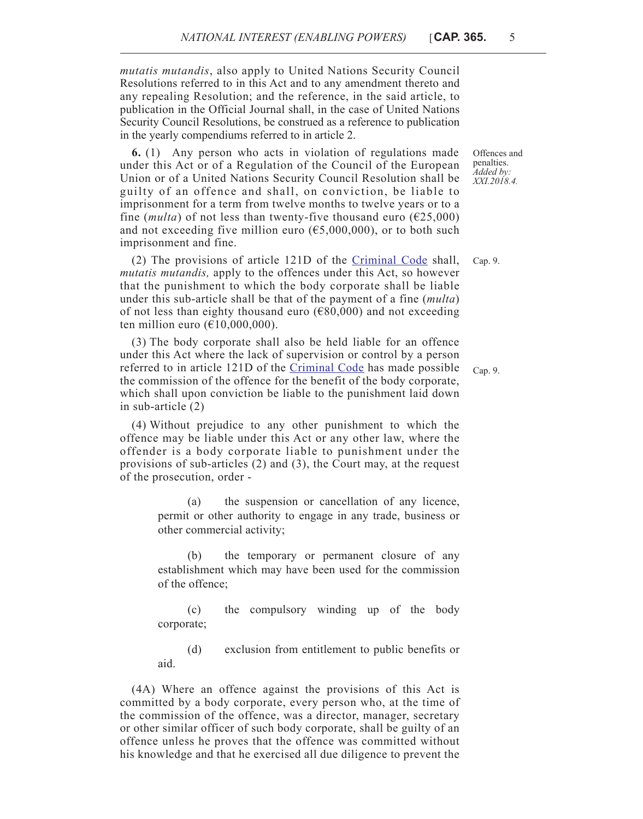*mutatis mutandis*, also apply to United Nations Security Council Resolutions referred to in this Act and to any amendment thereto and any repealing Resolution; and the reference, in the said article, to publication in the Official Journal shall, in the case of United Nations Security Council Resolutions, be construed as a reference to publication in the yearly compendiums referred to in article 2.

**6.** (1) Any person who acts in violation of regulations made under this Act or of a Regulation of the Council of the European Union or of a United Nations Security Council Resolution shall be guilty of an offence and shall, on conviction, be liable to imprisonment for a term from twelve months to twelve years or to a fine (*multa*) of not less than twenty-five thousand euro ( $\epsilon$ 25,000) and not exceeding five million euro ( $\epsilon$ 5,000,000), or to both such imprisonment and fine.

(2) The provisions of article 121D of the [Criminal Code](https://legislation.mt/eli/cap/9/eng/pdf) shall, Cap. 9. *mutatis mutandis,* apply to the offences under this Act, so however that the punishment to which the body corporate shall be liable under this sub-article shall be that of the payment of a fine (*multa*) of not less than eighty thousand euro ( $\epsilon$ 80,000) and not exceeding ten million euro  $(\text{\textsterling}10,000,000)$ .

(3) The body corporate shall also be held liable for an offence under this Act where the lack of supervision or control by a person referred to in article 121D of the [Criminal Code](https://legislation.mt/eli/cap/9/eng/pdf) has made possible the commission of the offence for the benefit of the body corporate, which shall upon conviction be liable to the punishment laid down in sub-article (2)

(4) Without prejudice to any other punishment to which the offence may be liable under this Act or any other law, where the offender is a body corporate liable to punishment under the provisions of sub-articles (2) and (3), the Court may, at the request of the prosecution, order -

> (a) the suspension or cancellation of any licence, permit or other authority to engage in any trade, business or other commercial activity;

> (b) the temporary or permanent closure of any establishment which may have been used for the commission of the offence;

> (c) the compulsory winding up of the body corporate;

> (d) exclusion from entitlement to public benefits or aid.

(4A) Where an offence against the provisions of this Act is committed by a body corporate, every person who, at the time of the commission of the offence, was a director, manager, secretary or other similar officer of such body corporate, shall be guilty of an offence unless he proves that the offence was committed without his knowledge and that he exercised all due diligence to prevent the

Offences and penalties. *Added by: XXI.2018.4.*

Cap. 9.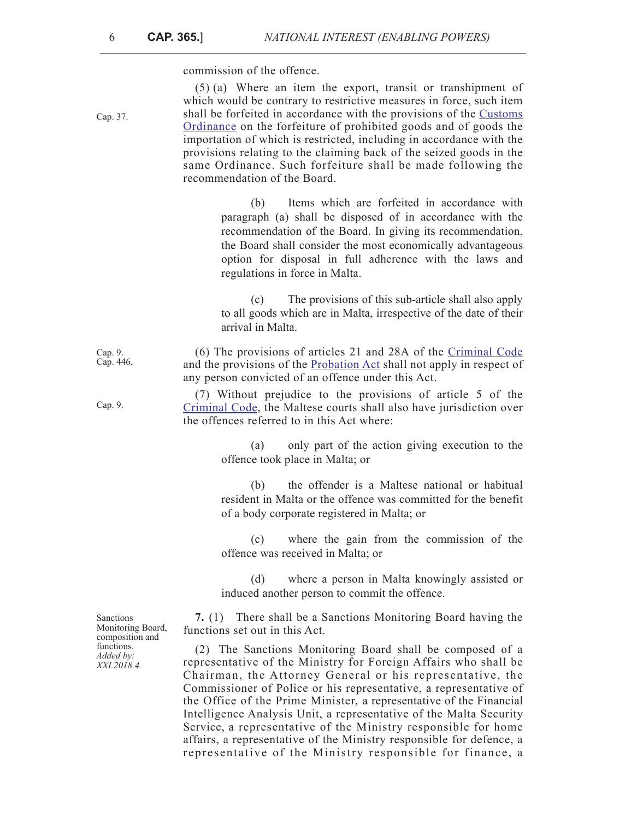commission of the offence.

Cap. 37.

Cap. 9.

(5) (a) Where an item the export, transit or transhipment of which would be contrary to restrictive measures in force, such item shall be forfeited in accordance with the provisions of the [Customs](https://legislation.mt/eli/cap/37/eng/pdf) [Ordinance](https://legislation.mt/eli/cap/37/eng/pdf) on the forfeiture of prohibited goods and of goods the importation of which is restricted, including in accordance with the provisions relating to the claiming back of the seized goods in the same Ordinance. Such forfeiture shall be made following the recommendation of the Board.

> (b) Items which are forfeited in accordance with paragraph (a) shall be disposed of in accordance with the recommendation of the Board. In giving its recommendation, the Board shall consider the most economically advantageous option for disposal in full adherence with the laws and regulations in force in Malta.

> (c) The provisions of this sub-article shall also apply to all goods which are in Malta, irrespective of the date of their arrival in Malta.

Cap. 9. Cap. 446. [\(6\) The provisions of articles 21 and 28A of the](https://legislation.mt/eli/cap/9/eng/pdf) Criminal Code and the provisions of the [Probation Act](https://legislation.mt/eli/cap/446/eng/pdf) shall not apply in respect of any person convicted of an offence under this Act.

> (7) Without prejudice to the provisions of article 5 of the [Criminal Code](https://legislation.mt/eli/cap/9/eng/pdf), the Maltese courts shall also have jurisdiction over the offences referred to in this Act where:

> > (a) only part of the action giving execution to the offence took place in Malta; or

> > (b) the offender is a Maltese national or habitual resident in Malta or the offence was committed for the benefit of a body corporate registered in Malta; or

> > (c) where the gain from the commission of the offence was received in Malta; or

> > (d) where a person in Malta knowingly assisted or induced another person to commit the offence.

**7.** (1) There shall be a Sanctions Monitoring Board having the functions set out in this Act.

(2) The Sanctions Monitoring Board shall be composed of a representative of the Ministry for Foreign Affairs who shall be Chairman, the Attorney General or his representative, the Commissioner of Police or his representative, a representative of the Office of the Prime Minister, a representative of the Financial Intelligence Analysis Unit, a representative of the Malta Security Service, a representative of the Ministry responsible for home affairs, a representative of the Ministry responsible for defence, a representative of the Ministry responsible for finance, a

Sanctions Monitoring Board, composition and functions. *Added by: XXI.2018.4.*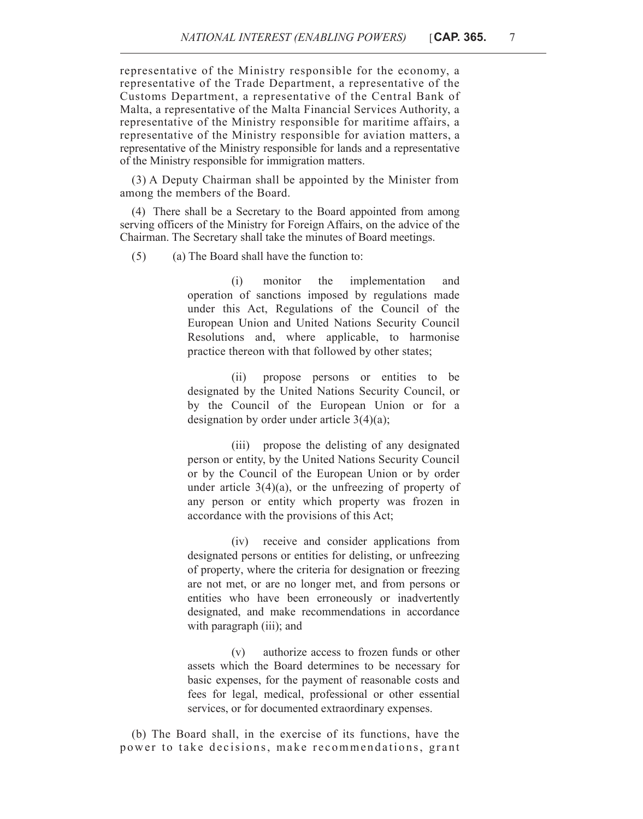representative of the Ministry responsible for the economy, a representative of the Trade Department, a representative of the Customs Department, a representative of the Central Bank of Malta, a representative of the Malta Financial Services Authority, a representative of the Ministry responsible for maritime affairs, a representative of the Ministry responsible for aviation matters, a representative of the Ministry responsible for lands and a representative of the Ministry responsible for immigration matters.

(3) A Deputy Chairman shall be appointed by the Minister from among the members of the Board.

(4) There shall be a Secretary to the Board appointed from among serving officers of the Ministry for Foreign Affairs, on the advice of the Chairman. The Secretary shall take the minutes of Board meetings.

(5) (a) The Board shall have the function to:

(i) monitor the implementation and operation of sanctions imposed by regulations made under this Act, Regulations of the Council of the European Union and United Nations Security Council Resolutions and, where applicable, to harmonise practice thereon with that followed by other states;

(ii) propose persons or entities to be designated by the United Nations Security Council, or by the Council of the European Union or for a designation by order under article 3(4)(a);

(iii) propose the delisting of any designated person or entity, by the United Nations Security Council or by the Council of the European Union or by order under article  $3(4)(a)$ , or the unfreezing of property of any person or entity which property was frozen in accordance with the provisions of this Act;

(iv) receive and consider applications from designated persons or entities for delisting, or unfreezing of property, where the criteria for designation or freezing are not met, or are no longer met, and from persons or entities who have been erroneously or inadvertently designated, and make recommendations in accordance with paragraph (iii); and

(v) authorize access to frozen funds or other assets which the Board determines to be necessary for basic expenses, for the payment of reasonable costs and fees for legal, medical, professional or other essential services, or for documented extraordinary expenses.

(b) The Board shall, in the exercise of its functions, have the power to take decisions, make recommendations, grant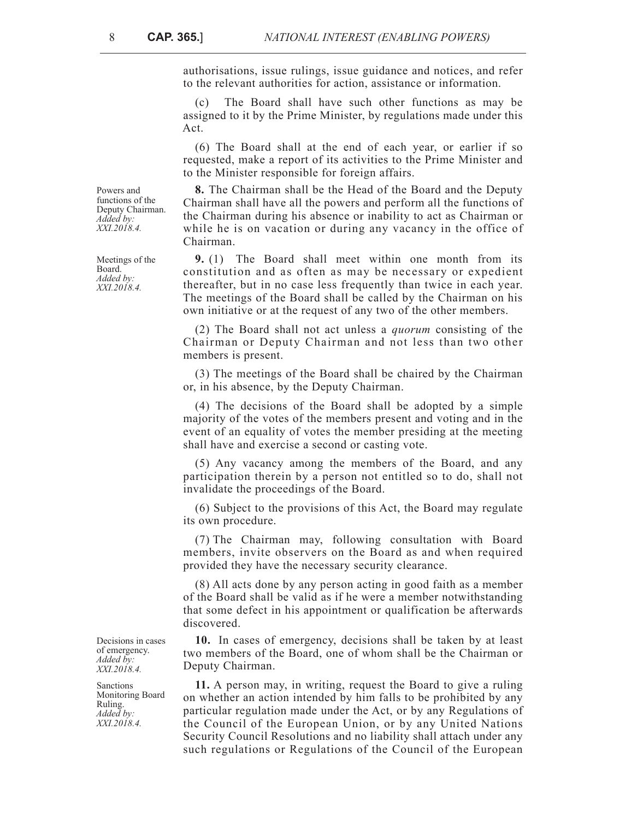authorisations, issue rulings, issue guidance and notices, and refer to the relevant authorities for action, assistance or information.

(c) The Board shall have such other functions as may be assigned to it by the Prime Minister, by regulations made under this Act.

(6) The Board shall at the end of each year, or earlier if so requested, make a report of its activities to the Prime Minister and to the Minister responsible for foreign affairs.

**8.** The Chairman shall be the Head of the Board and the Deputy Chairman shall have all the powers and perform all the functions of the Chairman during his absence or inability to act as Chairman or while he is on vacation or during any vacancy in the office of Chairman.

**9.** (1) The Board shall meet within one month from its constitution and as often as may be necessary or expedient thereafter, but in no case less frequently than twice in each year. The meetings of the Board shall be called by the Chairman on his own initiative or at the request of any two of the other members.

(2) The Board shall not act unless a *quorum* consisting of the Chairman or Deputy Chairman and not less than two other members is present.

(3) The meetings of the Board shall be chaired by the Chairman or, in his absence, by the Deputy Chairman.

(4) The decisions of the Board shall be adopted by a simple majority of the votes of the members present and voting and in the event of an equality of votes the member presiding at the meeting shall have and exercise a second or casting vote.

(5) Any vacancy among the members of the Board, and any participation therein by a person not entitled so to do, shall not invalidate the proceedings of the Board.

(6) Subject to the provisions of this Act, the Board may regulate its own procedure.

(7) The Chairman may, following consultation with Board members, invite observers on the Board as and when required provided they have the necessary security clearance.

(8) All acts done by any person acting in good faith as a member of the Board shall be valid as if he were a member notwithstanding that some defect in his appointment or qualification be afterwards discovered.

**10.** In cases of emergency, decisions shall be taken by at least two members of the Board, one of whom shall be the Chairman or Deputy Chairman.

**11.** A person may, in writing, request the Board to give a ruling on whether an action intended by him falls to be prohibited by any particular regulation made under the Act, or by any Regulations of the Council of the European Union, or by any United Nations Security Council Resolutions and no liability shall attach under any such regulations or Regulations of the Council of the European

Powers and functions of the Deputy Chairman. *Added by: XXI.2018.4.*

Meetings of the Board. *Added by: XXI.2018.4.*

Decisions in cases of emergency. *Added by: XXI.2018.4.*

Sanctions Monitoring Board Ruling. *Added by: XXI.2018.4.*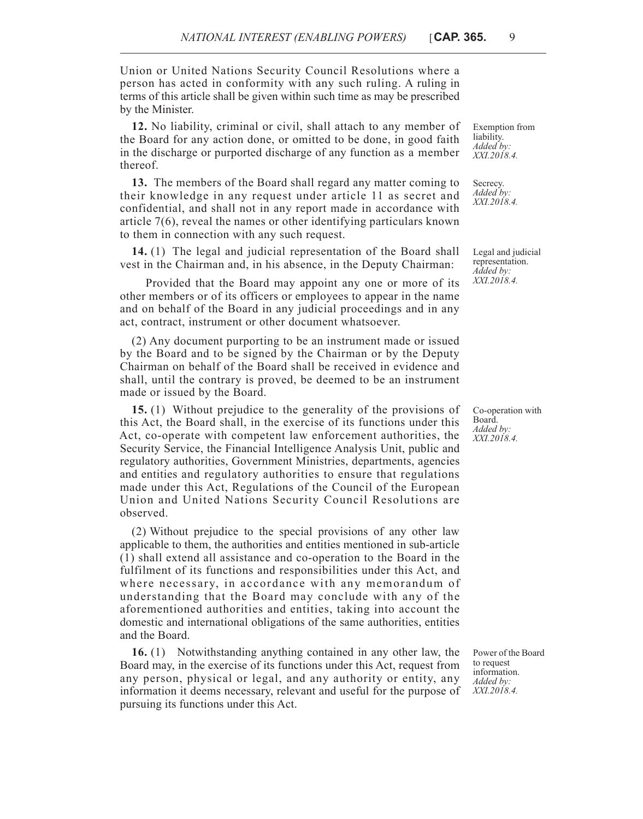Union or United Nations Security Council Resolutions where a person has acted in conformity with any such ruling. A ruling in terms of this article shall be given within such time as may be prescribed by the Minister.

**12.** No liability, criminal or civil, shall attach to any member of the Board for any action done, or omitted to be done, in good faith in the discharge or purported discharge of any function as a member thereof.

**13.** The members of the Board shall regard any matter coming to their knowledge in any request under article 11 as secret and confidential, and shall not in any report made in accordance with article 7(6), reveal the names or other identifying particulars known to them in connection with any such request.

**14.** (1) The legal and judicial representation of the Board shall vest in the Chairman and, in his absence, in the Deputy Chairman:

Provided that the Board may appoint any one or more of its other members or of its officers or employees to appear in the name and on behalf of the Board in any judicial proceedings and in any act, contract, instrument or other document whatsoever.

(2) Any document purporting to be an instrument made or issued by the Board and to be signed by the Chairman or by the Deputy Chairman on behalf of the Board shall be received in evidence and shall, until the contrary is proved, be deemed to be an instrument made or issued by the Board.

**15.** (1) Without prejudice to the generality of the provisions of this Act, the Board shall, in the exercise of its functions under this Act, co-operate with competent law enforcement authorities, the Security Service, the Financial Intelligence Analysis Unit, public and regulatory authorities, Government Ministries, departments, agencies and entities and regulatory authorities to ensure that regulations made under this Act, Regulations of the Council of the European Union and United Nations Security Council Resolutions are observed.

(2) Without prejudice to the special provisions of any other law applicable to them, the authorities and entities mentioned in sub-article (1) shall extend all assistance and co-operation to the Board in the fulfilment of its functions and responsibilities under this Act, and where necessary, in accordance with any memorandum of understanding that the Board may conclude with any of the aforementioned authorities and entities, taking into account the domestic and international obligations of the same authorities, entities and the Board.

**16.** (1) Notwithstanding anything contained in any other law, the Board may, in the exercise of its functions under this Act, request from any person, physical or legal, and any authority or entity, any information it deems necessary, relevant and useful for the purpose of pursuing its functions under this Act.

Exemption from liability. *Added by: XXI.2018.4.*

Secrecy. *Added by: XXI.2018.4.*

Legal and judicial representation. *Added by: XXI.2018.4.*

Co-operation with Board. *Added by: XXI.2018.4.*

Power of the Board to request information. *Added by: XXI.2018.4.*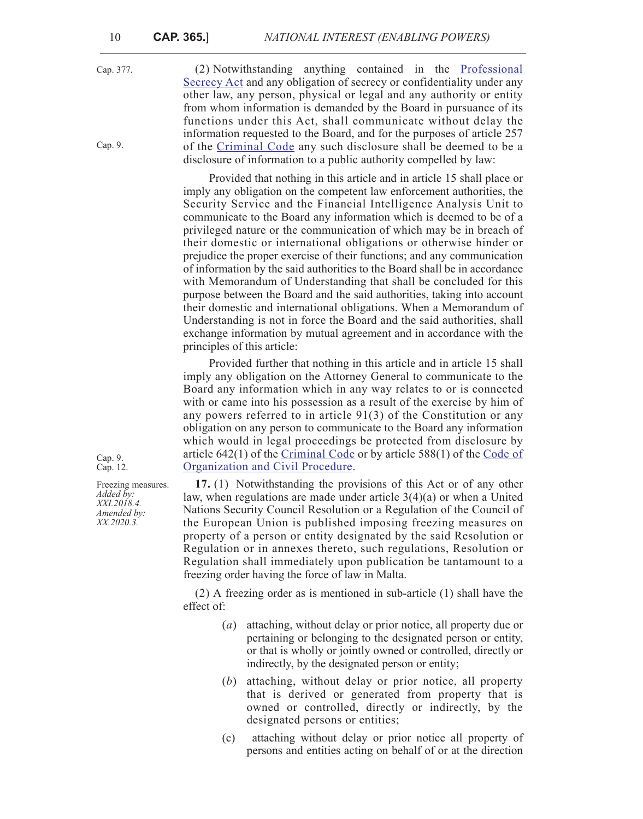Cap. 377. Cap. 9. (2) Notwithstanding anything contained in the [Professional](https://legislation.mt/eli/cap/377/eng/pdf) [Secrecy Act](https://legislation.mt/eli/cap/377/eng/pdf) and any obligation of secrecy or confidentiality under any other law, any person, physical or legal and any authority or entity from whom information is demanded by the Board in pursuance of its functions under this Act, shall communicate without delay the information requested to the Board, and for the purposes of article 257 of the [Criminal Code](https://legislation.mt/eli/cap/9/eng/pdf) any such disclosure shall be deemed to be a disclosure of information to a public authority compelled by law:

> Provided that nothing in this article and in article 15 shall place or imply any obligation on the competent law enforcement authorities, the Security Service and the Financial Intelligence Analysis Unit to communicate to the Board any information which is deemed to be of a privileged nature or the communication of which may be in breach of their domestic or international obligations or otherwise hinder or prejudice the proper exercise of their functions; and any communication of information by the said authorities to the Board shall be in accordance with Memorandum of Understanding that shall be concluded for this purpose between the Board and the said authorities, taking into account their domestic and international obligations. When a Memorandum of Understanding is not in force the Board and the said authorities, shall exchange information by mutual agreement and in accordance with the principles of this article:

> Provided further that nothing in this article and in article 15 shall imply any obligation on the Attorney General to communicate to the Board any information which in any way relates to or is connected with or came into his possession as a result of the exercise by him of any powers referred to in article 91(3) of the Constitution or any obligation on any person to communicate to the Board any information which would in legal proceedings be protected from disclosure by article  $642(1)$  of the [Criminal Code](https://legislation.mt/eli/cap/9/eng/pdf) or by article 588 $(1)$  of the [Code of](https://legislation.mt/eli/cap/12/eng/pdf) [Organization and Civil Procedure](https://legislation.mt/eli/cap/12/eng/pdf).

> **17.** (1) Notwithstanding the provisions of this Act or of any other law, when regulations are made under article 3(4)(a) or when a United Nations Security Council Resolution or a Regulation of the Council of the European Union is published imposing freezing measures on property of a person or entity designated by the said Resolution or Regulation or in annexes thereto, such regulations, Resolution or Regulation shall immediately upon publication be tantamount to a freezing order having the force of law in Malta.

> (2) A freezing order as is mentioned in sub-article (1) shall have the effect of:

- (*a*) attaching, without delay or prior notice, all property due or pertaining or belonging to the designated person or entity, or that is wholly or jointly owned or controlled, directly or indirectly, by the designated person or entity;
- (*b*) attaching, without delay or prior notice, all property that is derived or generated from property that is owned or controlled, directly or indirectly, by the designated persons or entities;
- (c) attaching without delay or prior notice all property of persons and entities acting on behalf of or at the direction

Cap. 9. Cap. 12.

Freezing measures. *Added by: XXI.2018.4. Amended by: XX.2020.3.*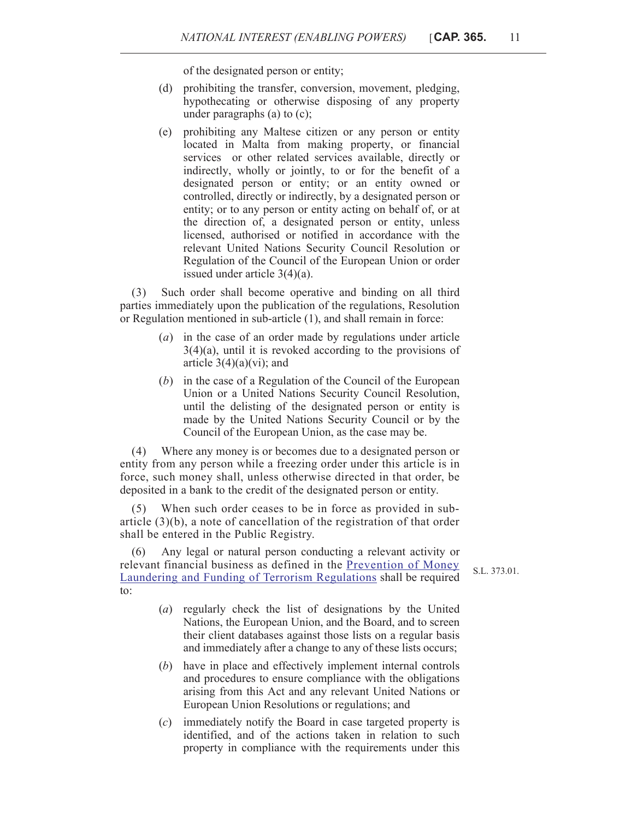of the designated person or entity;

- (d) prohibiting the transfer, conversion, movement, pledging, hypothecating or otherwise disposing of any property under paragraphs (a) to (c);
- (e) prohibiting any Maltese citizen or any person or entity located in Malta from making property, or financial services or other related services available, directly or indirectly, wholly or jointly, to or for the benefit of a designated person or entity; or an entity owned or controlled, directly or indirectly, by a designated person or entity; or to any person or entity acting on behalf of, or at the direction of, a designated person or entity, unless licensed, authorised or notified in accordance with the relevant United Nations Security Council Resolution or Regulation of the Council of the European Union or order issued under article 3(4)(a).

(3) Such order shall become operative and binding on all third parties immediately upon the publication of the regulations, Resolution or Regulation mentioned in sub-article (1), and shall remain in force:

- (*a*) in the case of an order made by regulations under article  $3(4)(a)$ , until it is revoked according to the provisions of article  $3(4)(a)(vi)$ ; and
- (*b*) in the case of a Regulation of the Council of the European Union or a United Nations Security Council Resolution, until the delisting of the designated person or entity is made by the United Nations Security Council or by the Council of the European Union, as the case may be.

(4) Where any money is or becomes due to a designated person or entity from any person while a freezing order under this article is in force, such money shall, unless otherwise directed in that order, be deposited in a bank to the credit of the designated person or entity.

(5) When such order ceases to be in force as provided in subarticle (3)(b), a note of cancellation of the registration of that order shall be entered in the Public Registry.

(6) Any legal or natural person conducting a relevant activity or relevant financial business as defined in the Prevention of Money Laundering and Funding of Terrorism Regulations shall be required to:

S.L. 373.01.

- (*a*) regularly check the list of designations by the United Nations, the European Union, and the Board, and to screen their client databases against those lists on a regular basis and immediately after a change to any of these lists occurs;
- (*b*) have in place and effectively implement internal controls and procedures to ensure compliance with the obligations arising from this Act and any relevant United Nations or European Union Resolutions or regulations; and
- (*c*) immediately notify the Board in case targeted property is identified, and of the actions taken in relation to such property in compliance with the requirements under this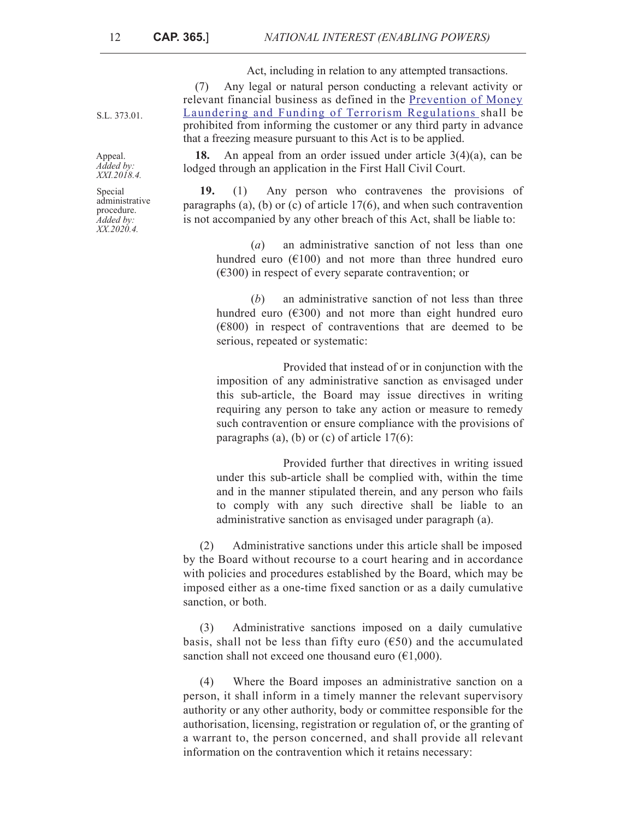Act, including in relation to any attempted transactions.

(7) Any legal or natural person conducting a relevant activity or relevant financial business as defined in the Prevention of Money Laundering and Funding of Terrorism Regulations shall be prohibited from informing the customer or any third party in advance that a freezing measure pursuant to this Act is to be applied.

**18.** An appeal from an order issued under article 3(4)(a), can be lodged through an application in the First Hall Civil Court.

**19.** (1) Any person who contravenes the provisions of paragraphs (a), (b) or (c) of article 17(6), and when such contravention is not accompanied by any other breach of this Act, shall be liable to:

(*a*) an administrative sanction of not less than one hundred euro  $(6100)$  and not more than three hundred euro  $(\epsilon$ 300) in respect of every separate contravention; or

(*b*) an administrative sanction of not less than three hundred euro  $(6300)$  and not more than eight hundred euro  $(6800)$  in respect of contraventions that are deemed to be serious, repeated or systematic:

Provided that instead of or in conjunction with the imposition of any administrative sanction as envisaged under this sub-article, the Board may issue directives in writing requiring any person to take any action or measure to remedy such contravention or ensure compliance with the provisions of paragraphs (a), (b) or (c) of article  $17(6)$ :

Provided further that directives in writing issued under this sub-article shall be complied with, within the time and in the manner stipulated therein, and any person who fails to comply with any such directive shall be liable to an administrative sanction as envisaged under paragraph (a).

(2) Administrative sanctions under this article shall be imposed by the Board without recourse to a court hearing and in accordance with policies and procedures established by the Board, which may be imposed either as a one-time fixed sanction or as a daily cumulative sanction, or both.

(3) Administrative sanctions imposed on a daily cumulative basis, shall not be less than fifty euro ( $650$ ) and the accumulated sanction shall not exceed one thousand euro  $(\epsilon 1,000)$ .

(4) Where the Board imposes an administrative sanction on a person, it shall inform in a timely manner the relevant supervisory authority or any other authority, body or committee responsible for the authorisation, licensing, registration or regulation of, or the granting of a warrant to, the person concerned, and shall provide all relevant information on the contravention which it retains necessary:

S.L. 373.01.

Appeal. *Added by: XXI.2018.4.*

Special administrative procedure. *Added by: XX.2020.4.*